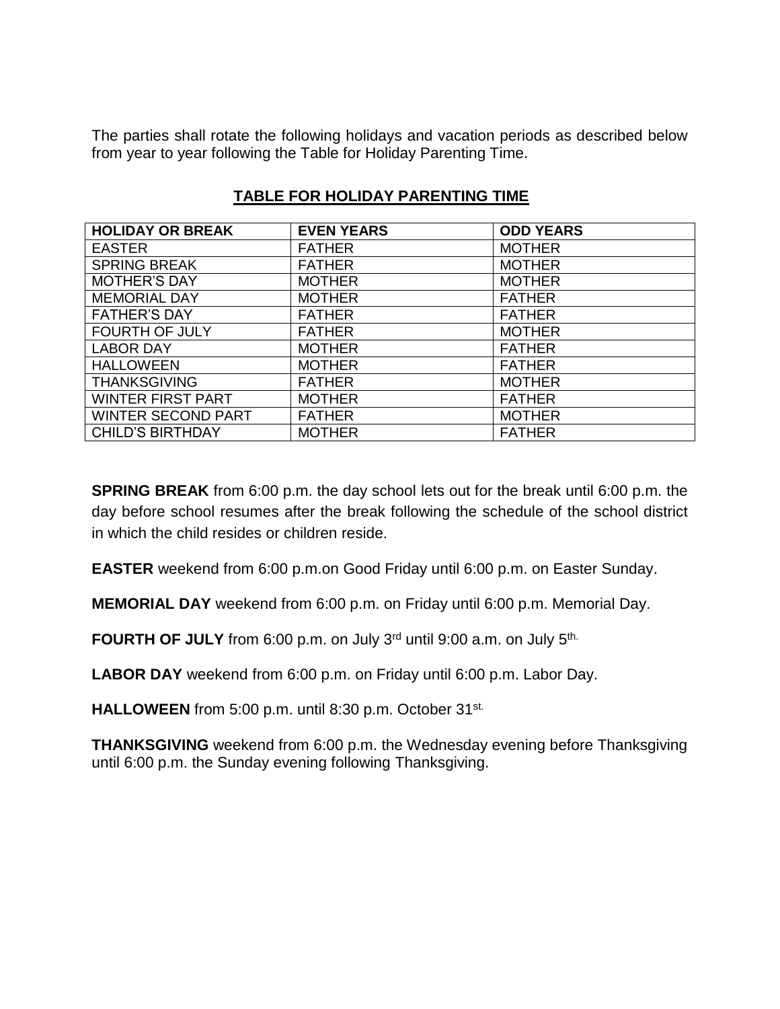The parties shall rotate the following holidays and vacation periods as described below from year to year following the Table for Holiday Parenting Time.

| <b>HOLIDAY OR BREAK</b>   | <b>EVEN YEARS</b> | <b>ODD YEARS</b> |
|---------------------------|-------------------|------------------|
| <b>EASTER</b>             | <b>FATHER</b>     | <b>MOTHER</b>    |
| <b>SPRING BREAK</b>       | <b>FATHER</b>     | <b>MOTHER</b>    |
| <b>MOTHER'S DAY</b>       | <b>MOTHER</b>     | <b>MOTHER</b>    |
| <b>MEMORIAL DAY</b>       | <b>MOTHER</b>     | <b>FATHER</b>    |
| <b>FATHER'S DAY</b>       | <b>FATHER</b>     | <b>FATHER</b>    |
| <b>FOURTH OF JULY</b>     | <b>FATHER</b>     | <b>MOTHER</b>    |
| <b>LABOR DAY</b>          | <b>MOTHER</b>     | <b>FATHER</b>    |
| <b>HALLOWEEN</b>          | <b>MOTHER</b>     | <b>FATHER</b>    |
| <b>THANKSGIVING</b>       | <b>FATHER</b>     | <b>MOTHER</b>    |
| <b>WINTER FIRST PART</b>  | <b>MOTHER</b>     | <b>FATHER</b>    |
| <b>WINTER SECOND PART</b> | <b>FATHER</b>     | <b>MOTHER</b>    |
| <b>CHILD'S BIRTHDAY</b>   | <b>MOTHER</b>     | <b>FATHER</b>    |

## **TABLE FOR HOLIDAY PARENTING TIME**

**SPRING BREAK** from 6:00 p.m. the day school lets out for the break until 6:00 p.m. the day before school resumes after the break following the schedule of the school district in which the child resides or children reside.

**EASTER** weekend from 6:00 p.m.on Good Friday until 6:00 p.m. on Easter Sunday.

**MEMORIAL DAY** weekend from 6:00 p.m. on Friday until 6:00 p.m. Memorial Day.

**FOURTH OF JULY** from 6:00 p.m. on July 3<sup>rd</sup> until 9:00 a.m. on July 5<sup>th.</sup>

**LABOR DAY** weekend from 6:00 p.m. on Friday until 6:00 p.m. Labor Day.

**HALLOWEEN** from 5:00 p.m. until 8:30 p.m. October 31st.

**THANKSGIVING** weekend from 6:00 p.m. the Wednesday evening before Thanksgiving until 6:00 p.m. the Sunday evening following Thanksgiving.